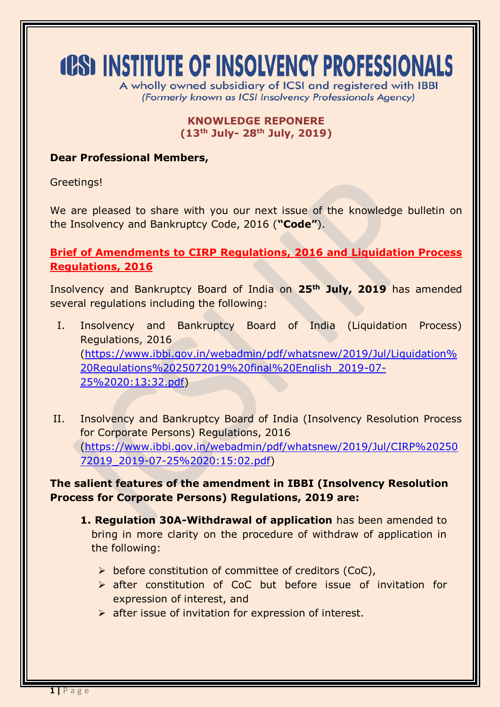# **(CS) INSTITUTE OF INSOLVENCY PROFESSIONALS**

A wholly owned subsidiary of ICSI and registered with IBBI (Formerly known as ICSI Insolvency Professionals Agency)

#### **KNOWLEDGE REPONERE (13th July- 28th July, 2019)**

#### **Dear Professional Members,**

Greetings!

We are pleased to share with you our next issue of the knowledge bulletin on the Insolvency and Bankruptcy Code, 2016 (**"Code"**).

**Brief of Amendments to CIRP Regulations, 2016 and Liquidation Process Regulations, 2016**

Insolvency and Bankruptcy Board of India on **25th July, 2019** has amended several regulations including the following:

- I. Insolvency and Bankruptcy Board of India (Liquidation Process) Regulations, 2016 [\(https://www.ibbi.gov.in/webadmin/pdf/whatsnew/2019/Jul/Liquidation%](https://www.ibbi.gov.in/webadmin/pdf/whatsnew/2019/Jul/Liquidation%20Regulations%2025072019%20final%20English_2019-07-25%2020:13:32.pdf) [20Regulations%2025072019%20final%20English\\_2019-07-](https://www.ibbi.gov.in/webadmin/pdf/whatsnew/2019/Jul/Liquidation%20Regulations%2025072019%20final%20English_2019-07-25%2020:13:32.pdf) [25%2020:13:32.pdf\)](https://www.ibbi.gov.in/webadmin/pdf/whatsnew/2019/Jul/Liquidation%20Regulations%2025072019%20final%20English_2019-07-25%2020:13:32.pdf)
- II. Insolvency and Bankruptcy Board of India (Insolvency Resolution Process for Corporate Persons) Regulations, 2016 [\(https://www.ibbi.gov.in/webadmin/pdf/whatsnew/2019/Jul/CIRP%20250](https://www.ibbi.gov.in/webadmin/pdf/whatsnew/2019/Jul/CIRP%2025072019_2019-07-25%2020:15:02.pdf) [72019\\_2019-07-25%2020:15:02.pdf\)](https://www.ibbi.gov.in/webadmin/pdf/whatsnew/2019/Jul/CIRP%2025072019_2019-07-25%2020:15:02.pdf)

**The salient features of the amendment in IBBI (Insolvency Resolution Process for Corporate Persons) Regulations, 2019 are:**

- **1. Regulation 30A-Withdrawal of application** has been amended to bring in more clarity on the procedure of withdraw of application in the following:
	- $\triangleright$  before constitution of committee of creditors (CoC),
	- after constitution of CoC but before issue of invitation for expression of interest, and
	- $\triangleright$  after issue of invitation for expression of interest.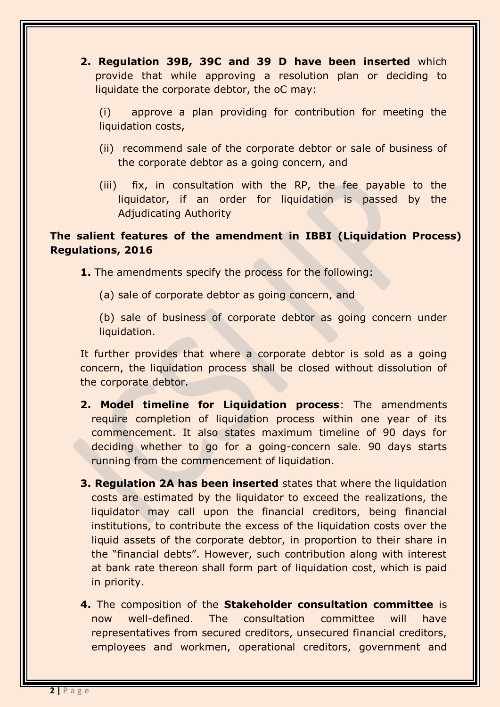**2. Regulation 39B, 39C and 39 D have been inserted** which provide that while approving a resolution plan or deciding to liquidate the corporate debtor, the oC may:

(i) approve a plan providing for contribution for meeting the liquidation costs,

- (ii) recommend sale of the corporate debtor or sale of business of the corporate debtor as a going concern, and
- (iii) fix, in consultation with the RP, the fee payable to the liquidator, if an order for liquidation is passed by the Adjudicating Authority

# **The salient features of the amendment in IBBI (Liquidation Process) Regulations, 2016**

**1.** The amendments specify the process for the following:

(a) sale of corporate debtor as going concern, and

(b) sale of business of corporate debtor as going concern under liquidation.

It further provides that where a corporate debtor is sold as a going concern, the liquidation process shall be closed without dissolution of the corporate debtor.

- **2. Model timeline for Liquidation process**: The amendments require completion of liquidation process within one year of its commencement. It also states maximum timeline of 90 days for deciding whether to go for a going-concern sale. 90 days starts running from the commencement of liquidation.
- **3. Regulation 2A has been inserted** states that where the liquidation costs are estimated by the liquidator to exceed the realizations, the liquidator may call upon the financial creditors, being financial institutions, to contribute the excess of the liquidation costs over the liquid assets of the corporate debtor, in proportion to their share in the "financial debts". However, such contribution along with interest at bank rate thereon shall form part of liquidation cost, which is paid in priority.
- **4.** The composition of the **Stakeholder consultation committee** is now well-defined. The consultation committee will have representatives from secured creditors, unsecured financial creditors, employees and workmen, operational creditors, government and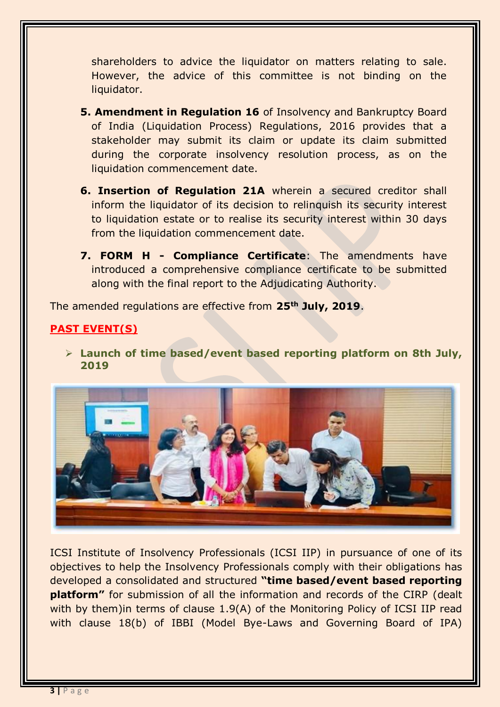shareholders to advice the liquidator on matters relating to sale. However, the advice of this committee is not binding on the liquidator.

- **5. Amendment in Regulation 16** of Insolvency and Bankruptcy Board of India (Liquidation Process) Regulations, 2016 provides that a stakeholder may submit its claim or update its claim submitted during the corporate insolvency resolution process, as on the liquidation commencement date.
- **6. Insertion of Regulation 21A** wherein a secured creditor shall inform the liquidator of its decision to relinquish its security interest to liquidation estate or to realise its security interest within 30 days from the liquidation commencement date.
- **7. FORM H - Compliance Certificate**: The amendments have introduced a comprehensive compliance certificate to be submitted along with the final report to the Adjudicating Authority.

The amended regulations are effective from **25th July, 2019**.

# **PAST EVENT(S)**

 **Launch of time based/event based reporting platform on 8th July, 2019**



ICSI Institute of Insolvency Professionals (ICSI IIP) in pursuance of one of its objectives to help the Insolvency Professionals comply with their obligations has developed a consolidated and structured **"time based/event based reporting platform"** for submission of all the information and records of the CIRP (dealt with by them)in terms of clause 1.9(A) of the Monitoring Policy of ICSI IIP read with clause 18(b) of IBBI (Model Bye-Laws and Governing Board of IPA)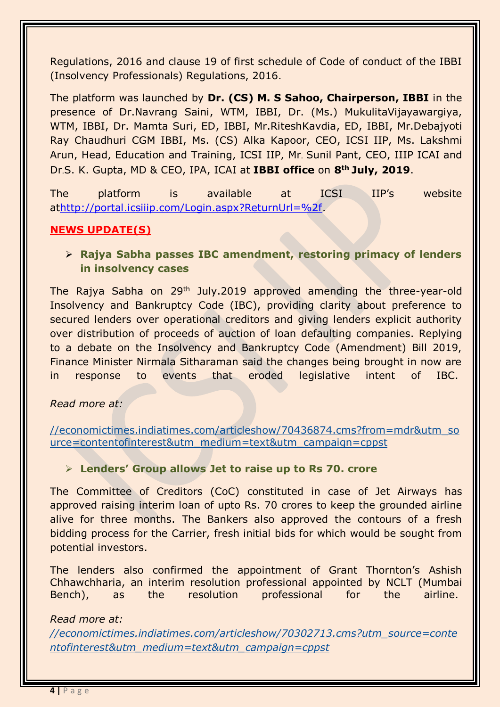Regulations, 2016 and clause 19 of first schedule of Code of conduct of the IBBI (Insolvency Professionals) Regulations, 2016.

The platform was launched by **Dr. (CS) M. S Sahoo, Chairperson, IBBI** in the presence of Dr.Navrang Saini, WTM, IBBI, Dr. (Ms.) MukulitaVijayawargiya, WTM, IBBI, Dr. Mamta Suri, ED, IBBI, Mr.RiteshKavdia, ED, IBBI, Mr.Debajyoti Ray Chaudhuri CGM IBBI, Ms. (CS) Alka Kapoor, CEO, ICSI IIP, Ms. Lakshmi Arun, Head, Education and Training, ICSI IIP, Mr. Sunil Pant, CEO, IIIP ICAI and Dr.S. K. Gupta, MD & CEO, IPA, ICAI at **IBBI office** on **8th July, 2019**.

The platform is available at ICSI IIP's website a[thttp://portal.icsiiip.com/Login.aspx?ReturnUrl=%2f.](http://portal.icsiiip.com/Login.aspx?ReturnUrl=%2f)

#### **NEWS UPDATE(S)**

## **Rajya Sabha passes IBC amendment, restoring primacy of lenders in insolvency cases**

The Rajya Sabha on 29th July.2019 approved amending the three-year-old Insolvency and Bankruptcy Code (IBC), providing clarity about preference to secured lenders over operational creditors and giving lenders explicit authority over distribution of proceeds of auction of loan defaulting companies. Replying to a debate on the Insolvency and Bankruptcy Code (Amendment) Bill 2019, Finance Minister Nirmala Sitharaman said the changes being brought in now are in response to events that eroded legislative intent of IBC.

#### *Read more at:*

[//economictimes.indiatimes.com/articleshow/70436874.cms?from=mdr&utm\\_so](https://economictimes.indiatimes.com/articleshow/70436874.cms?from=mdr&utm_source=contentofinterest&utm_medium=text&utm_campaign=cppst) [urce=contentofinterest&utm\\_medium=text&utm\\_campaign=cppst](https://economictimes.indiatimes.com/articleshow/70436874.cms?from=mdr&utm_source=contentofinterest&utm_medium=text&utm_campaign=cppst)

### **Lenders' Group allows Jet to raise up to Rs 70. crore**

The Committee of Creditors (CoC) constituted in case of Jet Airways has approved raising interim loan of upto Rs. 70 crores to keep the grounded airline alive for three months. The Bankers also approved the contours of a fresh bidding process for the Carrier, fresh initial bids for which would be sought from potential investors.

The lenders also confirmed the appointment of Grant Thornton's Ashish Chhawchharia, an interim resolution professional appointed by NCLT (Mumbai Bench), as the resolution professional for the airline.

#### *Read more at:*

*[//economictimes.indiatimes.com/articleshow/70302713.cms?utm\\_source=conte](https://economictimes.indiatimes.com/articleshow/70302713.cms?utm_source=contentofinterest&utm_medium=text&utm_campaign=cppst) [ntofinterest&utm\\_medium=text&utm\\_campaign=cppst](https://economictimes.indiatimes.com/articleshow/70302713.cms?utm_source=contentofinterest&utm_medium=text&utm_campaign=cppst)*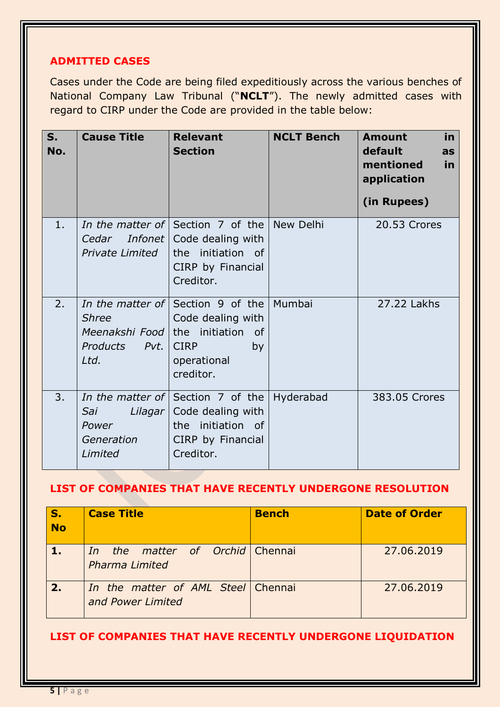# **ADMITTED CASES**

Cases under the Code are being filed expeditiously across the various benches of National Company Law Tribunal ("**NCLT**"). The newly admitted cases with regard to CIRP under the Code are provided in the table below:

| $S_{1}$<br>No. | <b>Cause Title</b>                                                     | <b>Relevant</b><br><b>Section</b>                                                                                       | <b>NCLT Bench</b> | in<br><b>Amount</b><br>default<br>as<br>mentioned<br>in<br>application<br>(in Rupees) |
|----------------|------------------------------------------------------------------------|-------------------------------------------------------------------------------------------------------------------------|-------------------|---------------------------------------------------------------------------------------|
| 1.             | Cedar<br>Infonet<br><b>Private Limited</b>                             | In the matter of Section 7 of the New Delhi<br>Code dealing with<br>the initiation of<br>CIRP by Financial<br>Creditor. |                   | 20.53 Crores                                                                          |
| 2.             | <b>Shree</b><br>Meenakshi Food the initiation<br>Products Pvt.<br>Ltd. | In the matter of Section 9 of the Mumbai<br>Code dealing with<br>of<br><b>CIRP</b><br>by<br>operational<br>creditor.    |                   | 27.22 Lakhs                                                                           |
| 3.             | Sai<br>Power<br>Generation<br>Limited                                  | In the matter of Section 7 of the<br>Lilagar   Code dealing with<br>the initiation of<br>CIRP by Financial<br>Creditor. | Hyderabad         | 383.05 Crores                                                                         |

#### **LIST OF COMPANIES THAT HAVE RECENTLY UNDERGONE RESOLUTION**

| S.<br>No | <b>Case Title</b>                                           | <b>Bench</b> | <b>Date of Order</b> |
|----------|-------------------------------------------------------------|--------------|----------------------|
| $/1$ .   | the matter of Orchid Chennai<br>In<br><b>Pharma Limited</b> |              | 27,06,2019           |
| 2.       | In the matter of AML Steel Chennai<br>and Power Limited     |              | 27,06,2019           |

#### **LIST OF COMPANIES THAT HAVE RECENTLY UNDERGONE LIQUIDATION**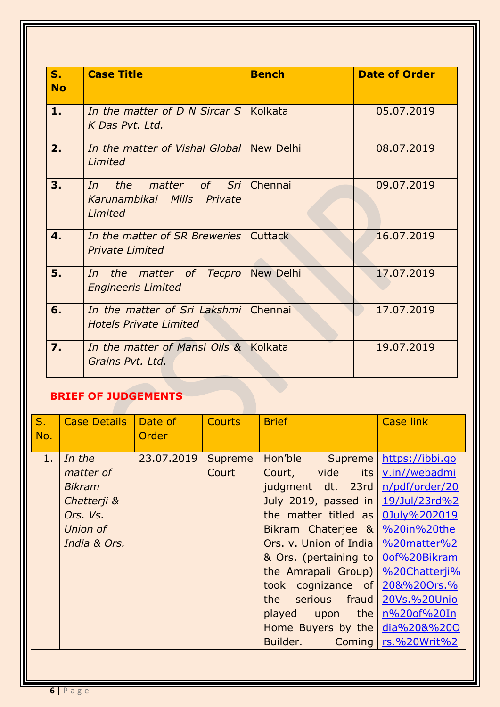| $S_{-}$<br><b>No</b> | <b>Case Title</b>                                                       | <b>Bench</b>     | <b>Date of Order</b> |
|----------------------|-------------------------------------------------------------------------|------------------|----------------------|
| 1.                   | In the matter of D N Sircar S   Kolkata<br>K Das Pvt. Ltd.              |                  | 05.07.2019           |
| 2.                   | In the matter of Vishal Global   New Delhi<br>Limited                   |                  | 08.07.2019           |
| 3.                   | matter of Sri<br>the<br>In<br>Karunambikai Mills Private<br>Limited     | Chennai          | 09.07.2019           |
| $\mathbf 4$ .        | In the matter of SR Breweries   Cuttack<br><b>Private Limited</b>       |                  | 16.07.2019           |
| 5.                   | In the matter of Tecpro<br><b>Engineeris Limited</b>                    | <b>New Delhi</b> | 17.07.2019           |
| 6.                   | In the matter of Sri Lakshmi   Chennai<br><b>Hotels Private Limited</b> |                  | 17.07.2019           |
| $\overline{7}$ .     | In the matter of Mansi Oils &<br>Grains Pvt. Ltd.                       | Kolkata          | 19.07.2019           |

# **BRIEF OF JUDGEMENTS**

| $S_{1}$<br>No. | <b>Case Details</b>                                                                         | Date of<br>Order | <b>Courts</b>    | <b>Brief</b>                                                                                                                                                                                                                                                                                                                  | <b>Case link</b>                                                                                                                                                                                                                |
|----------------|---------------------------------------------------------------------------------------------|------------------|------------------|-------------------------------------------------------------------------------------------------------------------------------------------------------------------------------------------------------------------------------------------------------------------------------------------------------------------------------|---------------------------------------------------------------------------------------------------------------------------------------------------------------------------------------------------------------------------------|
| 1.             | In the<br>matter of<br><b>Bikram</b><br>Chatterji &<br>Ors. Vs.<br>Union of<br>India & Ors. | 23.07.2019       | Supreme<br>Court | Hon'ble<br>Supreme<br>vide its<br>Court,<br>judgment dt. 23rd<br>July 2019, passed in<br>the matter titled as<br>Bikram Chaterjee &<br>Ors. v. Union of India<br>& Ors. (pertaining to<br>the Amrapali Group)<br>took cognizance of<br>the serious<br>fraud<br>upon the<br>played<br>Home Buyers by the<br>Builder.<br>Coming | https://ibbi.go<br>v.in//webadmi<br>n/pdf/order/20<br>19/Jul/23rd%2<br>0July%202019<br>%20in%20the<br>%20matter%2<br>0of%20Bikram<br>%20Chatterji%<br>20&%20Ors.%<br>20Vs.%20Unio<br>n%20of%20In<br>dia%20&%200<br>rs.%20Writ%2 |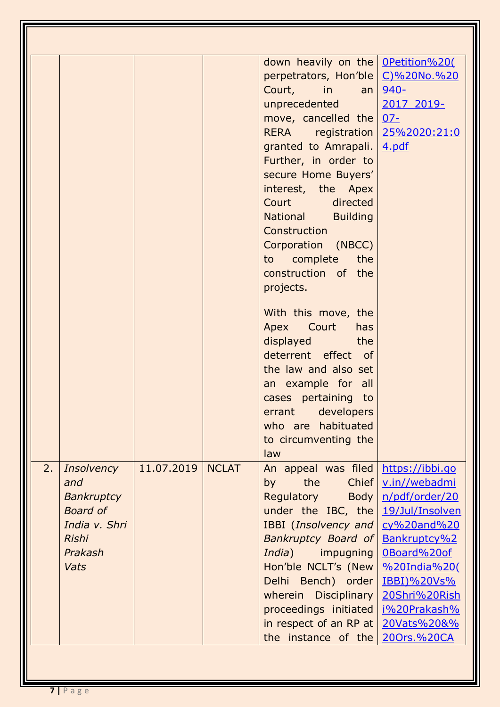|    |                                                                                   |            |              | down heavily on the   OPetition%20(<br>perpetrators, Hon'ble<br>Court, in an<br>unprecedented<br>move, cancelled the<br>RERA registration<br>granted to Amrapali.<br>Further, in order to<br>secure Home Buyers'<br>interest, the Apex<br><b>Court</b><br>directed<br>National Building<br>Construction<br>Corporation (NBCC)<br>to complete the<br>construction of the<br>projects.<br>With this move, the<br>Apex Court<br>has<br>displayed the<br>deterrent effect of<br>the law and also set<br>an example for all<br>cases pertaining to<br>errant developers | C)%20No.%20<br>$940 -$<br>2017 2019-<br>$07 -$<br>25%2020:21:0<br>4.pdf                                                                                                                        |
|----|-----------------------------------------------------------------------------------|------------|--------------|--------------------------------------------------------------------------------------------------------------------------------------------------------------------------------------------------------------------------------------------------------------------------------------------------------------------------------------------------------------------------------------------------------------------------------------------------------------------------------------------------------------------------------------------------------------------|------------------------------------------------------------------------------------------------------------------------------------------------------------------------------------------------|
| 2. | <b>Insolvency</b>                                                                 | 11.07.2019 | <b>NCLAT</b> | who are habituated<br>to circumventing the<br>law<br>An appeal was filed                                                                                                                                                                                                                                                                                                                                                                                                                                                                                           | https://ibbi.go                                                                                                                                                                                |
|    | and<br>Bankruptcy<br>Board of<br>India v. Shri<br><b>Rishi</b><br>Prakash<br>Vats |            |              | Chief<br>by<br>the<br>Regulatory<br>Body<br>under the IBC, the<br><b>IBBI</b> (Insolvency and<br>Bankruptcy Board of<br>India)<br>impugning<br>Hon'ble NCLT's (New<br>Delhi Bench) order<br>wherein Disciplinary<br>proceedings initiated<br>in respect of an RP at<br>the instance of the                                                                                                                                                                                                                                                                         | v.in//webadmi<br>n/pdf/order/20<br>19/Jul/Insolven<br>cy%20and%20<br>Bankruptcy%2<br>0Board%20of<br>%20India%20(<br>IBBI)%20Vs%<br>20Shri%20Rish<br>i%20Prakash%<br>20Vats%20&%<br>200rs.%20CA |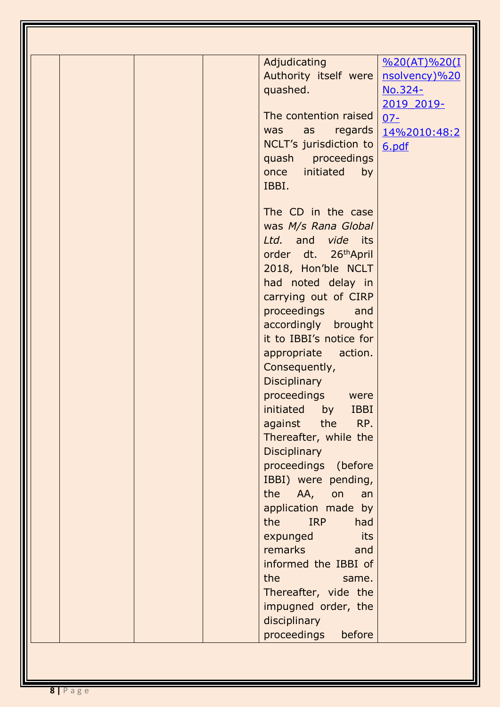|  | Adjudicating<br>$\frac{9620(AT)\%20(I)}{}$ |  |
|--|--------------------------------------------|--|
|  | Authority itself were<br>nsolvency)%20     |  |
|  | quashed.<br>No.324-                        |  |
|  | 2019 2019-                                 |  |
|  | The contention raised<br>$07 -$            |  |
|  | regards<br>as<br>was<br>14%2010:48:2       |  |
|  | NCLT's jurisdiction to<br>6.pdf            |  |
|  | quash proceedings                          |  |
|  | once initiated<br>by                       |  |
|  | IBBI.                                      |  |
|  |                                            |  |
|  | The CD in the case                         |  |
|  | was M/s Rana Global                        |  |
|  | Ltd. and vide its                          |  |
|  | order dt. 26 <sup>th</sup> April           |  |
|  | 2018, Hon'ble NCLT                         |  |
|  | had noted delay in                         |  |
|  | carrying out of CIRP                       |  |
|  | proceedings<br>and                         |  |
|  | accordingly brought                        |  |
|  | it to IBBI's notice for                    |  |
|  | appropriate action.                        |  |
|  | Consequently,                              |  |
|  | <b>Disciplinary</b>                        |  |
|  | proceedings were                           |  |
|  | initiated<br>by<br><b>IBBI</b>             |  |
|  | RP.<br>against<br>the                      |  |
|  | Thereafter, while the                      |  |
|  | <b>Disciplinary</b>                        |  |
|  | proceedings (before                        |  |
|  | IBBI) were pending,                        |  |
|  | the AA,<br>on<br>an                        |  |
|  | application made by                        |  |
|  | the<br><b>IRP</b><br>had                   |  |
|  | expunged<br>its                            |  |
|  | remarks<br>and                             |  |
|  | informed the IBBI of                       |  |
|  | the<br>same.                               |  |
|  | Thereafter, vide the                       |  |
|  | impugned order, the                        |  |
|  | disciplinary                               |  |
|  | proceedings<br>before                      |  |
|  |                                            |  |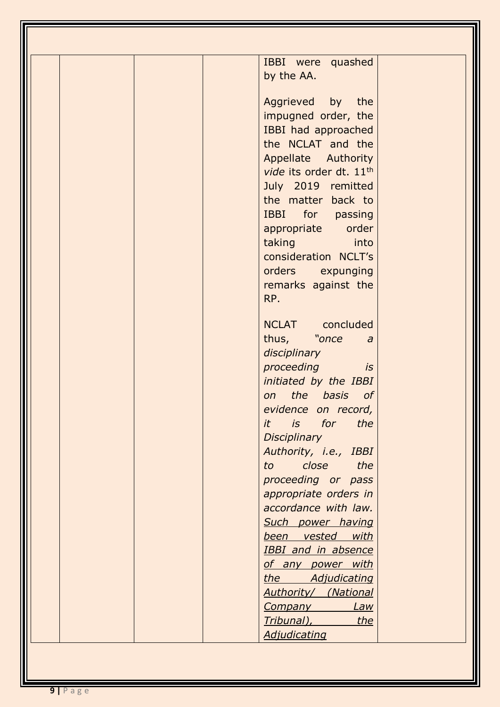| IBBI were quashed                        |
|------------------------------------------|
| by the AA.                               |
|                                          |
| Aggrieved by the                         |
| impugned order, the                      |
| IBBI had approached<br>the NCLAT and the |
| Appellate Authority                      |
| vide its order dt. 11 <sup>th</sup>      |
| July 2019 remitted                       |
| the matter back to                       |
| IBBI for passing                         |
| appropriate order                        |
| taking into                              |
| consideration NCLT's                     |
| orders expunging                         |
| remarks against the<br>RP.               |
|                                          |
| NCLAT concluded                          |
| thus, "once<br>$\overline{a}$            |
| disciplinary                             |
| proceeding<br>is                         |
| initiated by the IBBI                    |
| on the basis of<br>evidence on record,   |
| it is for<br>the                         |
| Disciplinary                             |
| Authority, i.e., IBBI                    |
| close the<br>to                          |
| proceeding or pass                       |
| appropriate orders in                    |
| accordance with law.                     |
| Such power having<br>been vested with    |
| <b>IBBI</b> and in absence               |
| of any power with                        |
| the Adjudicating                         |
| <b>Authority/ (National</b>              |
| Law<br><b>Company</b>                    |
| Tribunal), Tribunal<br>the               |
| <b>Adjudicating</b>                      |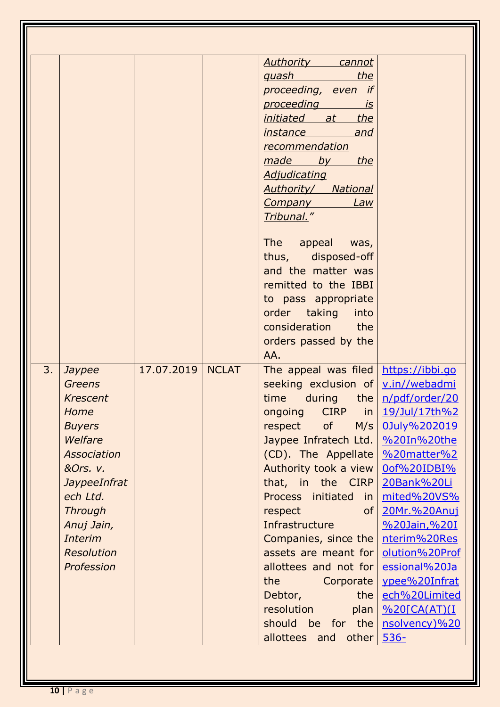|    |                   |            |              | <b>Authority</b> cannot                |                |
|----|-------------------|------------|--------------|----------------------------------------|----------------|
|    |                   |            |              | quash<br>the                           |                |
|    |                   |            |              | proceeding, even if                    |                |
|    |                   |            |              | proceeding <b>proceeding</b><br>is     |                |
|    |                   |            |              | the<br><u>initiated at</u>             |                |
|    |                   |            |              | <i>instance</i><br>and                 |                |
|    |                   |            |              | recommendation                         |                |
|    |                   |            |              | made by the                            |                |
|    |                   |            |              | <b>Adjudicating</b>                    |                |
|    |                   |            |              | <b>Authority/ National</b>             |                |
|    |                   |            |              | <b>Company</b><br>Law                  |                |
|    |                   |            |              | Tribunal."                             |                |
|    |                   |            |              | The appeal was,                        |                |
|    |                   |            |              | thus, disposed-off                     |                |
|    |                   |            |              | and the matter was                     |                |
|    |                   |            |              | remitted to the IBBI                   |                |
|    |                   |            |              | to pass appropriate                    |                |
|    |                   |            |              | order taking<br>into                   |                |
|    |                   |            |              | consideration the                      |                |
|    |                   |            |              | orders passed by the                   |                |
|    |                   |            |              | AA.                                    |                |
| 3. | Jaypee            | 17.07.2019 | <b>NCLAT</b> | The appeal was filed $https://ibbi.qo$ |                |
|    | <b>Greens</b>     |            |              | seeking exclusion of   v.in//webadmi   |                |
|    | <b>Krescent</b>   |            |              | time during the $n/pdf/order/20$       |                |
|    | Home              |            |              | ongoing CIRP in 19/Jul/17th%2          |                |
|    | <b>Buyers</b>     |            |              | of<br>M/s<br>respect                   | 0July%202019   |
|    | Welfare           |            |              | Jaypee Infratech Ltd.   %20In%20the    |                |
|    | Association       |            |              | (CD). The Appellate                    | %20matter%2    |
|    | &Ors. v.          |            |              | Authority took a view                  | 0of%20IDBI%    |
|    | JaypeeInfrat      |            |              | that, in the CIRP                      | 20Bank%20Li    |
|    | ech Ltd.          |            |              | Process initiated<br>in                | mited%20VS%    |
|    | <b>Through</b>    |            |              | respect<br>of <sub>1</sub>             | 20Mr.%20Anuj   |
|    | Anuj Jain,        |            |              | Infrastructure                         | %20Jain,%20I   |
|    | <b>Interim</b>    |            |              | Companies, since the                   | nterim%20Res   |
|    | <b>Resolution</b> |            |              | assets are meant for                   | olution%20Prof |
|    | Profession        |            |              | allottees and not for                  | essional%20Ja  |
|    |                   |            |              | the<br><b>Corporate</b>                | ypee%20Infrat  |
|    |                   |            |              | the<br>Debtor,                         | ech%20Limited  |
|    |                   |            |              | resolution<br>plan                     | %20[CA(AT)(I   |
|    |                   |            |              | should be for the                      | nsolvency)%20  |
|    |                   |            |              |                                        |                |
|    |                   |            |              | allottees and<br>other                 | $536-$         |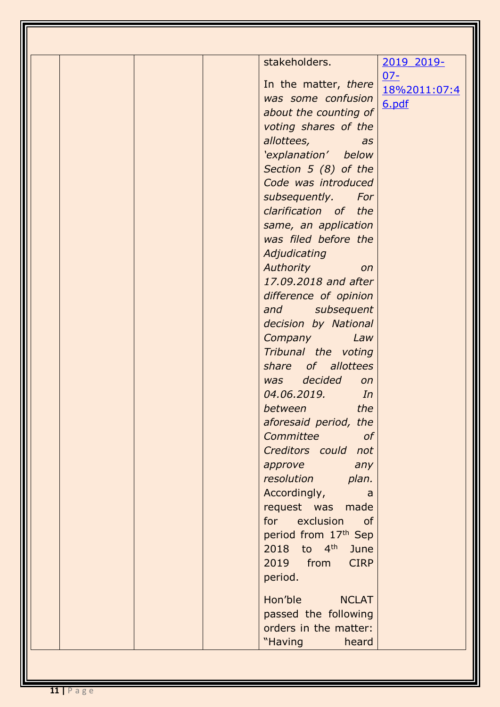| stakeholders.                        | 2019 2019-   |
|--------------------------------------|--------------|
| In the matter, there                 | $07 -$       |
| was some confusion                   | 18%2011:07:4 |
| about the counting of                | 6.pdf        |
| voting shares of the                 |              |
| allottees, allottees,<br>as          |              |
| 'explanation' below                  |              |
| Section 5 (8) of the                 |              |
| Code was introduced                  |              |
| subsequently. For                    |              |
| clarification of the                 |              |
| same, an application                 |              |
| was filed before the                 |              |
| Adjudicating                         |              |
| <b>Authority Authority</b><br>on     |              |
| 17.09.2018 and after                 |              |
| difference of opinion                |              |
| and subsequent                       |              |
| decision by National                 |              |
| Company<br>Law                       |              |
| Tribunal the voting                  |              |
| share of allottees                   |              |
| was decided<br>on                    |              |
| 04.06.2019.<br>$\sqrt{a}$            |              |
| the<br><i>between</i>                |              |
| aforesaid period, the                |              |
| Committee<br><sub>of</sub>           |              |
| Creditors could not                  |              |
| approve<br>any                       |              |
| resolution<br>plan.                  |              |
| Accordingly,<br>a                    |              |
| request was made<br>for exclusion of |              |
| period from 17th Sep                 |              |
| $2018$ to $4^{\text{th}}$<br>June    |              |
| <b>CIRP</b><br>2019 from             |              |
| period.                              |              |
|                                      |              |
| Hon'ble<br><b>NCLAT</b>              |              |
| passed the following                 |              |
| orders in the matter:                |              |
| "Having<br>heard                     |              |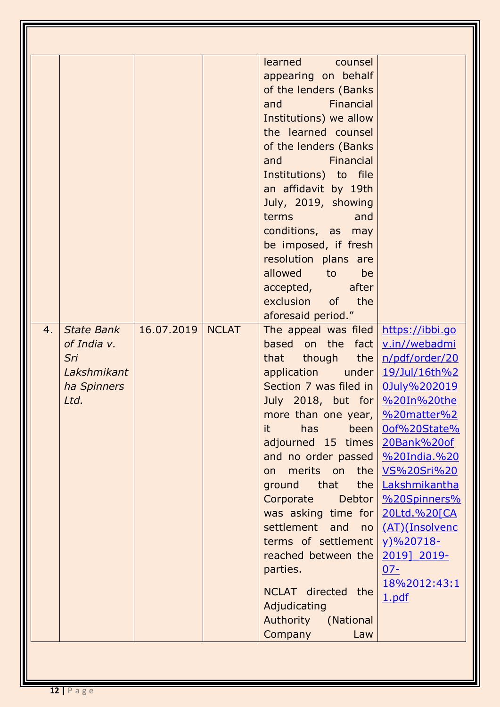| learned counsel<br>appearing on behalf<br>of the lenders (Banks)<br>Financial<br>and<br>Institutions) we allow<br>the learned counsel<br>of the lenders (Banks<br><b>Example 1</b> Financial<br>and<br>Institutions) to file<br>an affidavit by 19th<br>July, 2019, showing<br>terms<br>and<br>conditions, as may<br>be imposed, if fresh<br>resolution plans are<br>allowed to<br>be<br>accepted, after<br>exclusion of the<br>aforesaid period."<br>16.07.2019<br>4.<br><b>NCLAT</b><br>State Bank<br>The appeal was filed $https://ibbi.gov$<br>of India v.<br>based on the fact v.in//webadmi<br>that though the $n/pdf/order/20$<br>Sri<br>application under 19/Jul/16th%2<br>Lakshmikant<br>Section 7 was filed in   0July%202019<br>ha Spinners<br>Ltd.<br>July 2018, but for 9620In%20the<br>more than one year, $\frac{9}{20}$ matter %2<br>has<br>been<br>Oof%20State%<br>it.<br>adjourned 15 times<br>20Bank%20of<br>and no order passed<br>%20India.%20<br>merits on the <u>VS%20Sri%20</u><br>on<br>ground that<br>the   Lakshmikantha<br>%20Spinners%<br>Corporate<br>Debtor<br>was asking time for<br>20Ltd.%20[CA<br>settlement and<br>(AT)(Insolvenc<br>no<br>terms of settlement<br>y)%20718- |
|-----------------------------------------------------------------------------------------------------------------------------------------------------------------------------------------------------------------------------------------------------------------------------------------------------------------------------------------------------------------------------------------------------------------------------------------------------------------------------------------------------------------------------------------------------------------------------------------------------------------------------------------------------------------------------------------------------------------------------------------------------------------------------------------------------------------------------------------------------------------------------------------------------------------------------------------------------------------------------------------------------------------------------------------------------------------------------------------------------------------------------------------------------------------------------------------------------------------|
| 2019] 2019-<br>reached between the<br>parties.<br>$07 -$<br>18%2012:43:1<br>NCLAT directed the                                                                                                                                                                                                                                                                                                                                                                                                                                                                                                                                                                                                                                                                                                                                                                                                                                                                                                                                                                                                                                                                                                                  |

Ш